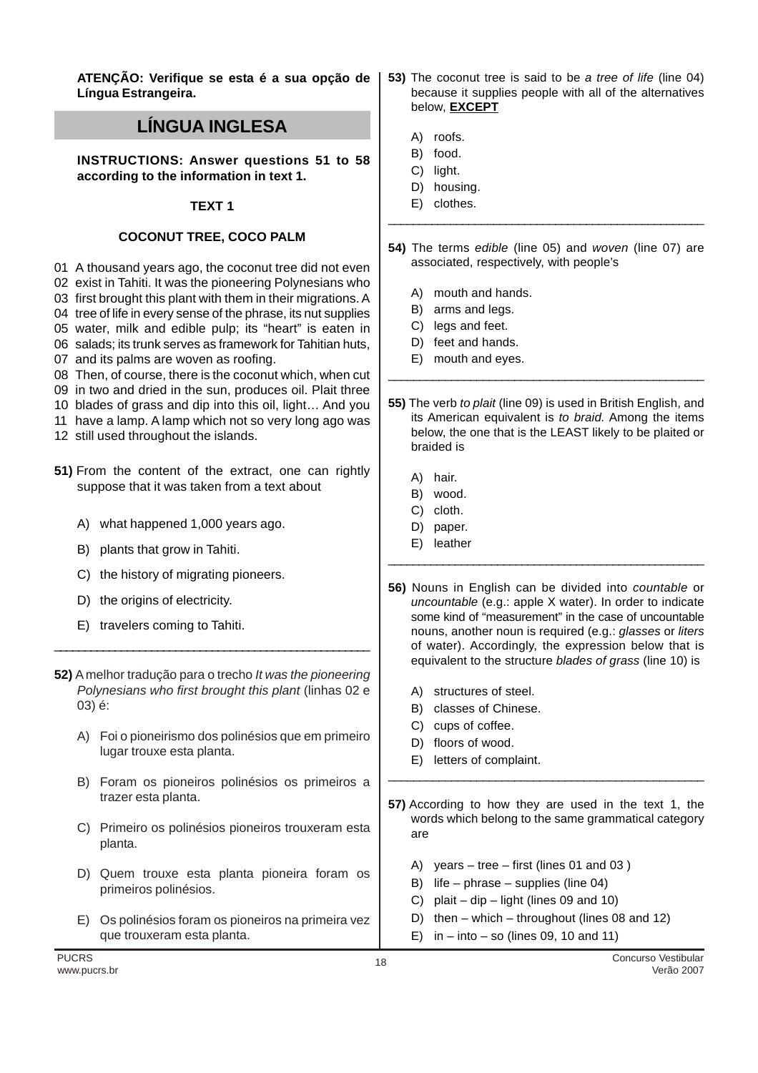**ATENÇÃO: Verifique se esta é a sua opção de Língua Estrangeira.**

## **LÍNGUA INGLESA**

**INSTRUCTIONS: Answer questions 51 to 58 according to the information in text 1.**

## **TEXT 1**

## **COCONUT TREE, COCO PALM**

01 A thousand years ago, the coconut tree did not even

02 exist in Tahiti. It was the pioneering Polynesians who

03 first brought this plant with them in their migrations. A

04 tree of life in every sense of the phrase, its nut supplies

05 water, milk and edible pulp; its "heart" is eaten in 06 salads; its trunk serves as framework for Tahitian huts,

07 and its palms are woven as roofing.

08 Then, of course, there is the coconut which, when cut

- 09 in two and dried in the sun, produces oil. Plait three
- 10 blades of grass and dip into this oil, light… And you
- 11 have a lamp. A lamp which not so very long ago was
- 12 still used throughout the islands.
- **51)** From the content of the extract, one can rightly suppose that it was taken from a text about
	- A) what happened 1,000 years ago.
	- B) plants that grow in Tahiti.
	- C) the history of migrating pioneers.
	- D) the origins of electricity.
	- E) travelers coming to Tahiti.
- **52)** A melhor tradução para o trecho It was the pioneering Polynesians who first brought this plant (linhas 02 e 03) é:

\_\_\_\_\_\_\_\_\_\_\_\_\_\_\_\_\_\_\_\_\_\_\_\_\_\_\_\_\_\_\_\_\_\_\_\_\_\_\_\_\_\_\_\_\_\_\_\_\_\_\_\_

- A) Foi o pioneirismo dos polinésios que em primeiro lugar trouxe esta planta.
- B) Foram os pioneiros polinésios os primeiros a trazer esta planta.
- C) Primeiro os polinésios pioneiros trouxeram esta planta.
- D) Quem trouxe esta planta pioneira foram os primeiros polinésios.
- E) Os polinésios foram os pioneiros na primeira vez que trouxeram esta planta.
- **53)** The coconut tree is said to be a tree of life (line 04) because it supplies people with all of the alternatives below, **EXCEPT**
	- A) roofs.
	- B) food.
	- C) light.
	- D) housing.
	- E) clothes.
- **54)** The terms edible (line 05) and woven (line 07) are associated, respectively, with people's

\_\_\_\_\_\_\_\_\_\_\_\_\_\_\_\_\_\_\_\_\_\_\_\_\_\_\_\_\_\_\_\_\_\_\_\_\_\_\_\_\_\_\_\_\_\_\_\_\_\_\_

- A) mouth and hands.
- B) arms and legs.
- C) legs and feet.
- D) feet and hands.
- E) mouth and eyes.
- **55)** The verb to plait (line 09) is used in British English, and its American equivalent is to braid. Among the items below, the one that is the LEAST likely to be plaited or braided is

\_\_\_\_\_\_\_\_\_\_\_\_\_\_\_\_\_\_\_\_\_\_\_\_\_\_\_\_\_\_\_\_\_\_\_\_\_\_\_\_\_\_\_\_\_\_\_\_\_\_

- A) hair.
- B) wood.
- C) cloth.
- D) paper.
- E) leather
- **56)** Nouns in English can be divided into countable or uncountable (e.g.: apple X water). In order to indicate some kind of "measurement" in the case of uncountable nouns, another noun is required (e.g.: glasses or liters of water). Accordingly, the expression below that is equivalent to the structure blades of grass (line 10) is

\_\_\_\_\_\_\_\_\_\_\_\_\_\_\_\_\_\_\_\_\_\_\_\_\_\_\_\_\_\_\_\_\_\_\_\_\_\_\_\_\_\_\_\_\_\_\_\_\_\_\_\_

- A) structures of steel.
- B) classes of Chinese.
- C) cups of coffee.
- D) floors of wood.
- E) letters of complaint.
- **57)** According to how they are used in the text 1, the words which belong to the same grammatical category are

\_\_\_\_\_\_\_\_\_\_\_\_\_\_\_\_\_\_\_\_\_\_\_\_\_\_\_\_\_\_\_\_\_\_\_\_\_\_\_\_\_\_\_\_\_\_\_\_\_\_

- A) years tree first (lines 01 and 03 )
- B) life phrase supplies (line 04)
- C) plait dip light (lines  $09$  and  $10$ )
- D) then which throughout (lines 08 and 12)
- E) in into so (lines 09, 10 and 11)